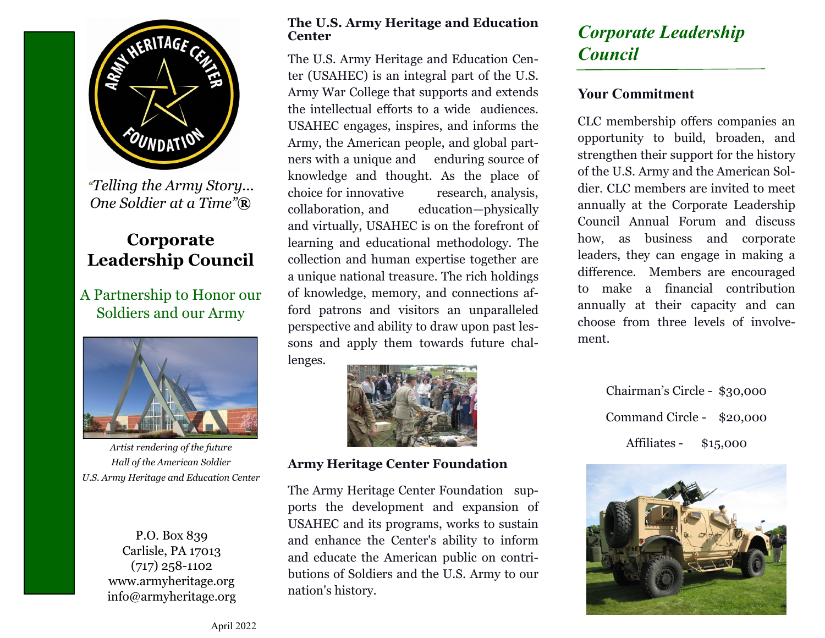

*"Telling the Army Story... One Soldier at a Time"***®**

#### **Corporate Leadership Council**

#### A Partnership to Honor our Soldiers and our Army



*Artist rendering of the future Hall of the American Soldier U.S. Army Heritage and Education Center*

P.O. Box 839 Carlisle, PA 17013 (717) 258-1102 www.armyheritage.org info@armyheritage.org

#### **The U.S. Army Heritage and Education Center**

The U.S. Army Heritage and Education Center (USAHEC) is an integral part of the U.S. Army War College that supports and extends the intellectual efforts to a wide audiences. USAHEC engages, inspires, and informs the Army, the American people, and global partners with a unique and enduring source of knowledge and thought. As the place of choice for innovative research, analysis, collaboration, and education—physically and virtually, USAHEC is on the forefront of learning and educational methodology. The collection and human expertise together are a unique national treasure. The rich holdings of knowledge, memory, and connections afford patrons and visitors an unparalleled perspective and ability to draw upon past lessons and apply them towards future challenges.



**Army Heritage Center Foundation**

The Army Heritage Center Foundation supports the development and expansion of USAHEC and its programs, works to sustain and enhance the Center's ability to inform and educate the American public on contributions of Soldiers and the U.S. Army to our nation's history.

### *Corporate Leadership Council*

#### **Your Commitment**

CLC membership offers companies an opportunity to build, broaden, and strengthen their support for the history of the U.S. Army and the American Soldier. CLC members are invited to meet annually at the Corporate Leadership Council Annual Forum and discuss how, as business and corporate leaders, they can engage in making a difference. Members are encouraged to make a financial contribution annually at their capacity and can choose from three levels of involvement.